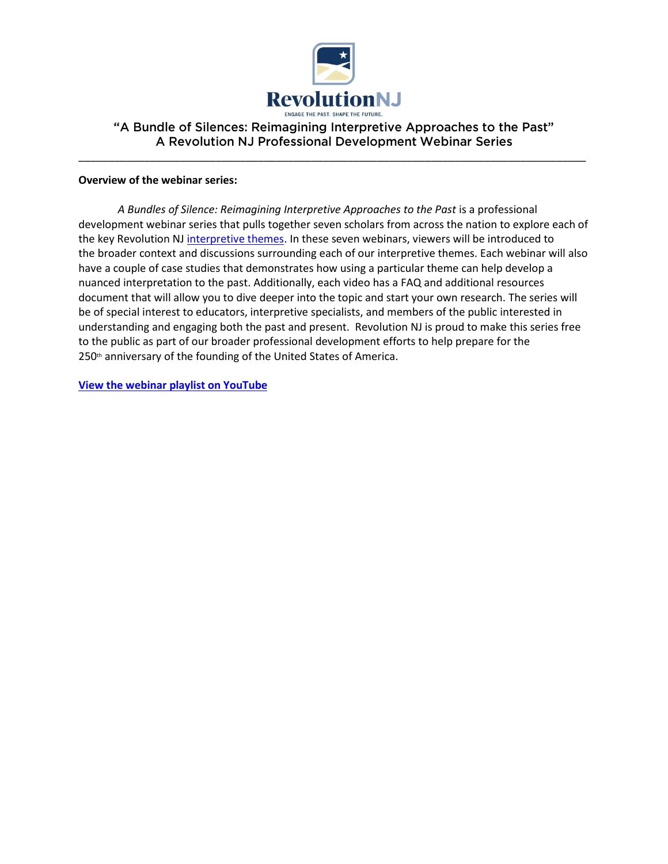

## "A Bundle of Silences: Reimagining Interpretive Approaches to the Past" A Revolution NJ Professional Development Webinar Series

\_\_\_\_\_\_\_\_\_\_\_\_\_\_\_\_\_\_\_\_\_\_\_\_\_\_\_\_\_\_\_\_\_\_\_\_\_\_\_\_\_\_\_\_\_\_\_\_\_\_\_\_\_\_\_\_\_\_\_\_\_\_\_\_\_\_\_\_\_\_\_\_\_\_\_\_\_\_\_\_\_\_\_\_\_

### **Overview of the webinar series:**

*A Bundles of Silence: Reimagining Interpretive Approaches to the Past* is a professional development webinar series that pulls together seven scholars from across the nation to explore each of the key Revolution NJ [interpretive themes.](https://nj.gov/state/historical/assets/pdf/2021-rnj-interpretative-framework.pdf) In these seven webinars, viewers will be introduced to the broader context and discussions surrounding each of our interpretive themes. Each webinar will also have a couple of case studies that demonstrates how using a particular theme can help develop a nuanced interpretation to the past. Additionally, each video has a FAQ and additional resources document that will allow you to dive deeper into the topic and start your own research. The series will be of special interest to educators, interpretive specialists, and members of the public interested in understanding and engaging both the past and present. Revolution NJ is proud to make this series free to the public as part of our broader professional development efforts to help prepare for the 250<sup>th</sup> anniversary of the founding of the United States of America.

**[View the webinar playlist](https://youtube.com/playlist?list=PLMhkXBA4RtMkjUNFa5dgroz1krVBZRLxk) on YouTube**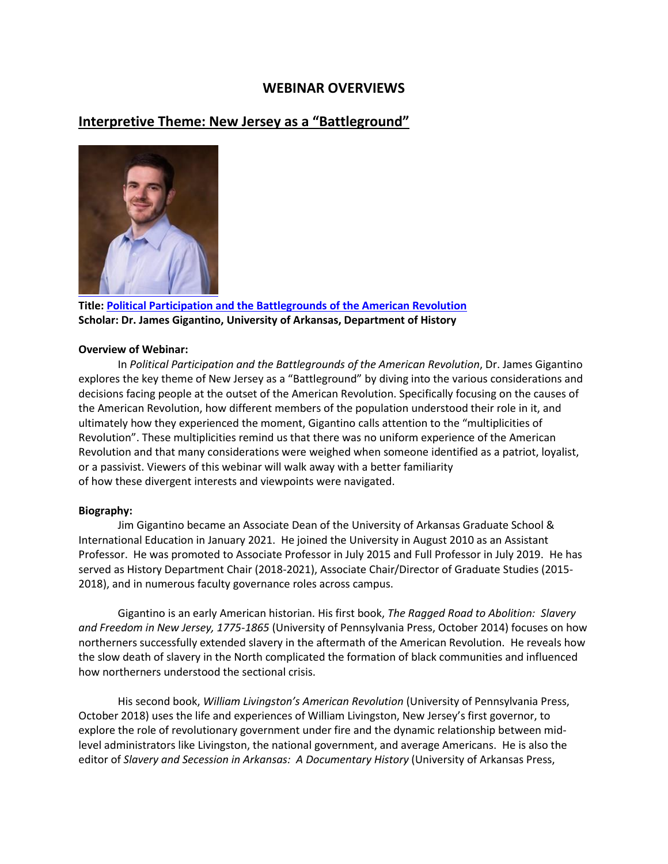## **WEBINAR OVERVIEWS**

## **Interpretive Theme: New Jersey as a "Battleground"**



**Title[: Political Participation and the Battlegrounds of the American Revolution](https://youtu.be/xAN_LRdn0Do) Scholar: Dr. James Gigantino, University of Arkansas, Department of History**

#### **Overview of Webinar:**

In *Political Participation and the Battlegrounds of the American Revolution*, Dr. James Gigantino explores the key theme of New Jersey as a "Battleground" by diving into the various considerations and decisions facing people at the outset of the American Revolution. Specifically focusing on the causes of the American Revolution, how different members of the population understood their role in it, and ultimately how they experienced the moment, Gigantino calls attention to the "multiplicities of Revolution". These multiplicities remind us that there was no uniform experience of the American Revolution and that many considerations were weighed when someone identified as a patriot, loyalist, or a passivist. Viewers of this webinar will walk away with a better familiarity of how these divergent interests and viewpoints were navigated.

#### **Biography:**

Jim Gigantino became an Associate Dean of the University of Arkansas Graduate School & International Education in January 2021. He joined the University in August 2010 as an Assistant Professor. He was promoted to Associate Professor in July 2015 and Full Professor in July 2019. He has served as History Department Chair (2018-2021), Associate Chair/Director of Graduate Studies (2015- 2018), and in numerous faculty governance roles across campus.

Gigantino is an early American historian. His first book, *The Ragged Road to Abolition: Slavery and Freedom in New Jersey, 1775-1865* (University of Pennsylvania Press, October 2014) focuses on how northerners successfully extended slavery in the aftermath of the American Revolution. He reveals how the slow death of slavery in the North complicated the formation of black communities and influenced how northerners understood the sectional crisis.

His second book, *William Livingston's American Revolution* (University of Pennsylvania Press, October 2018) uses the life and experiences of William Livingston, New Jersey's first governor, to explore the role of revolutionary government under fire and the dynamic relationship between midlevel administrators like Livingston, the national government, and average Americans. He is also the editor of *Slavery and Secession in Arkansas: A Documentary History* (University of Arkansas Press,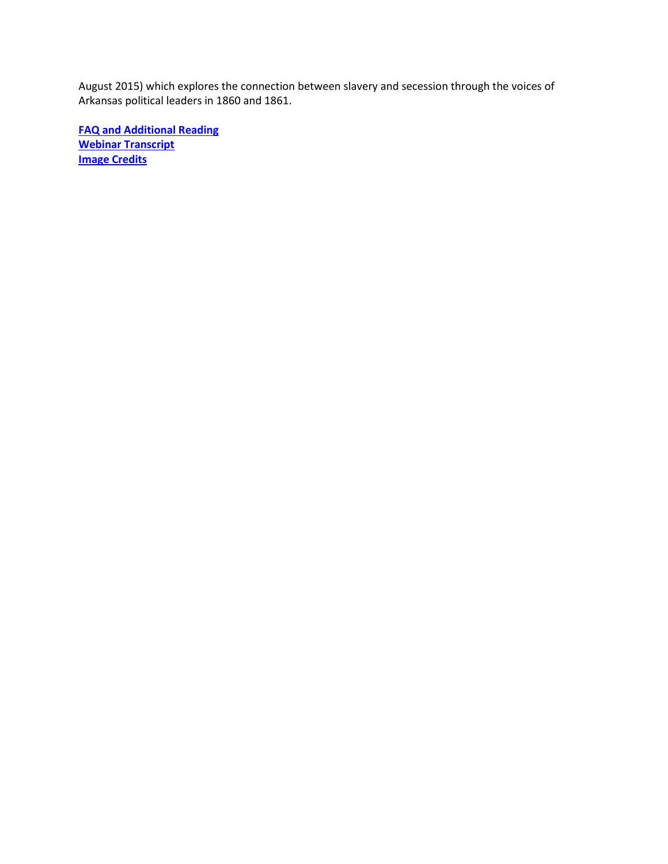August 2015) which explores the connection between slavery and secession through the voices of Arkansas political leaders in 1860 and 1861.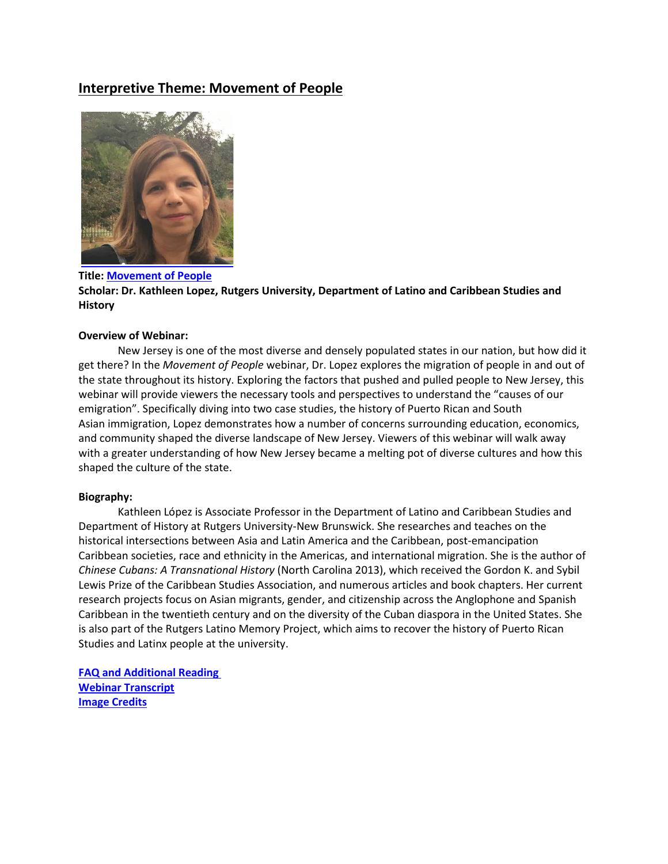# **Interpretive Theme: Movement of People**



**Title[: Movement of People](https://youtu.be/ImToTz7gHn4) Scholar: Dr. Kathleen Lopez, Rutgers University, Department of Latino and Caribbean Studies and History**

### **Overview of Webinar:**

New Jersey is one of the most diverse and densely populated states in our nation, but how did it get there? In the *Movement of People* webinar, Dr. Lopez explores the migration of people in and out of the state throughout its history. Exploring the factors that pushed and pulled people to New Jersey, this webinar will provide viewers the necessary tools and perspectives to understand the "causes of our emigration". Specifically diving into two case studies, the history of Puerto Rican and South Asian immigration, Lopez demonstrates how a number of concerns surrounding education, economics, and community shaped the diverse landscape of New Jersey. Viewers of this webinar will walk away with a greater understanding of how New Jersey became a melting pot of diverse cultures and how this shaped the culture of the state.

#### **Biography:**

Kathleen López is Associate Professor in the Department of Latino and Caribbean Studies and Department of History at Rutgers University-New Brunswick. She researches and teaches on the historical intersections between Asia and Latin America and the Caribbean, post-emancipation Caribbean societies, race and ethnicity in the Americas, and international migration. She is the author of *Chinese Cubans: A Transnational History* (North Carolina 2013), which received the Gordon K. and Sybil Lewis Prize of the Caribbean Studies Association, and numerous articles and book chapters. Her current research projects focus on Asian migrants, gender, and citizenship across the Anglophone and Spanish Caribbean in the twentieth century and on the diversity of the Cuban diaspora in the United States. She is also part of the Rutgers Latino Memory Project, which aims to recover the history of Puerto Rican Studies and Latinx people at the university.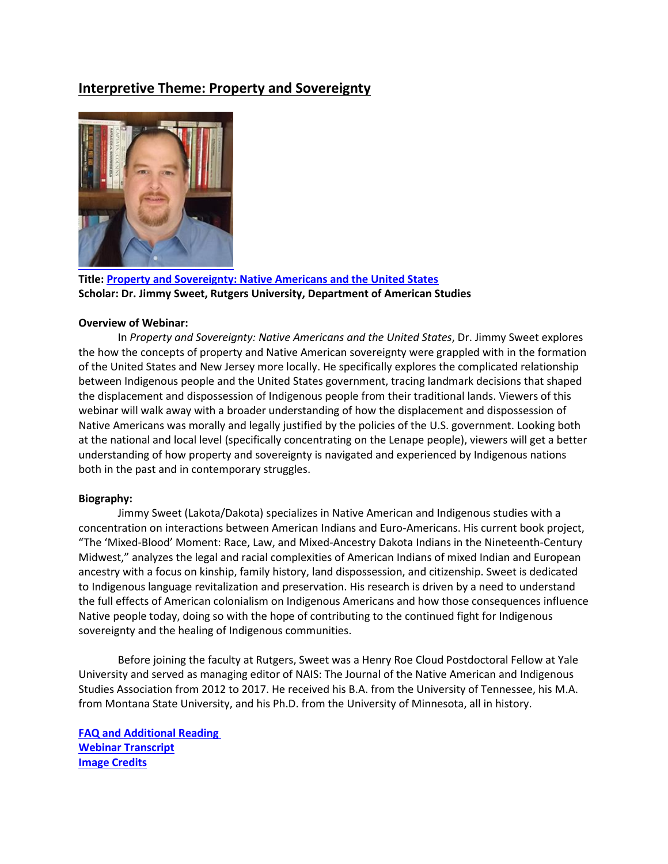# **Interpretive Theme: Property and Sovereignty**



**Title[: Property and Sovereignty: Native Americans and the United States](https://youtu.be/UkESJMBU4RE) Scholar: Dr. Jimmy Sweet, Rutgers University, Department of American Studies**

## **Overview of Webinar:**

In *Property and Sovereignty: Native Americans and the United States*, Dr. Jimmy Sweet explores the how the concepts of property and Native American sovereignty were grappled with in the formation of the United States and New Jersey more locally. He specifically explores the complicated relationship between Indigenous people and the United States government, tracing landmark decisions that shaped the displacement and dispossession of Indigenous people from their traditional lands. Viewers of this webinar will walk away with a broader understanding of how the displacement and dispossession of Native Americans was morally and legally justified by the policies of the U.S. government. Looking both at the national and local level (specifically concentrating on the Lenape people), viewers will get a better understanding of how property and sovereignty is navigated and experienced by Indigenous nations both in the past and in contemporary struggles.

#### **Biography:**

Jimmy Sweet (Lakota/Dakota) specializes in Native American and Indigenous studies with a concentration on interactions between American Indians and Euro-Americans. His current book project, "The 'Mixed-Blood' Moment: Race, Law, and Mixed-Ancestry Dakota Indians in the Nineteenth-Century Midwest," analyzes the legal and racial complexities of American Indians of mixed Indian and European ancestry with a focus on kinship, family history, land dispossession, and citizenship. Sweet is dedicated to Indigenous language revitalization and preservation. His research is driven by a need to understand the full effects of American colonialism on Indigenous Americans and how those consequences influence Native people today, doing so with the hope of contributing to the continued fight for Indigenous sovereignty and the healing of Indigenous communities.

Before joining the faculty at Rutgers, Sweet was a Henry Roe Cloud Postdoctoral Fellow at Yale University and served as managing editor of NAIS: The Journal of the Native American and Indigenous Studies Association from 2012 to 2017. He received his B.A. from the University of Tennessee, his M.A. from Montana State University, and his Ph.D. from the University of Minnesota, all in history.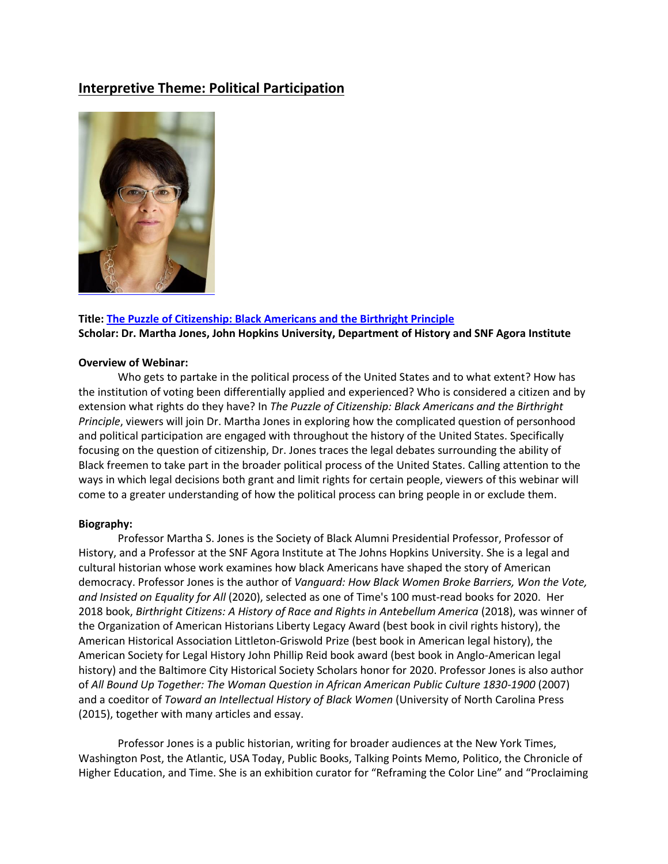# **Interpretive Theme: Political Participation**



## **Title[: The Puzzle of Citizenship: Black Americans and the Birthright Principle](https://youtu.be/RhQmMKLSiv8) Scholar: Dr. Martha Jones, John Hopkins University, Department of History and SNF Agora Institute**

#### **Overview of Webinar:**

Who gets to partake in the political process of the United States and to what extent? How has the institution of voting been differentially applied and experienced? Who is considered a citizen and by extension what rights do they have? In *The Puzzle of Citizenship: Black Americans and the Birthright Principle*, viewers will join Dr. Martha Jones in exploring how the complicated question of personhood and political participation are engaged with throughout the history of the United States. Specifically focusing on the question of citizenship, Dr. Jones traces the legal debates surrounding the ability of Black freemen to take part in the broader political process of the United States. Calling attention to the ways in which legal decisions both grant and limit rights for certain people, viewers of this webinar will come to a greater understanding of how the political process can bring people in or exclude them.

#### **Biography:**

Professor Martha S. Jones is the Society of Black Alumni Presidential Professor, Professor of History, and a Professor at the SNF Agora Institute at The Johns Hopkins University. She is a legal and cultural historian whose work examines how black Americans have shaped the story of American democracy. Professor Jones is the author of *Vanguard: How Black Women Broke Barriers, Won the Vote, and Insisted on Equality for All* (2020), selected as one of Time's 100 must-read books for 2020. Her 2018 book, *Birthright Citizens: A History of Race and Rights in Antebellum America* (2018), was winner of the Organization of American Historians Liberty Legacy Award (best book in civil rights history), the American Historical Association Littleton-Griswold Prize (best book in American legal history), the American Society for Legal History John Phillip Reid book award (best book in Anglo-American legal history) and the Baltimore City Historical Society Scholars honor for 2020. Professor Jones is also author of *All Bound Up Together: The Woman Question in African American Public Culture 1830-1900* (2007) and a coeditor of *Toward an Intellectual History of Black Women* (University of North Carolina Press (2015), together with many articles and essay.

Professor Jones is a public historian, writing for broader audiences at the New York Times, Washington Post, the Atlantic, USA Today, Public Books, Talking Points Memo, Politico, the Chronicle of Higher Education, and Time. She is an exhibition curator for "Reframing the Color Line" and "Proclaiming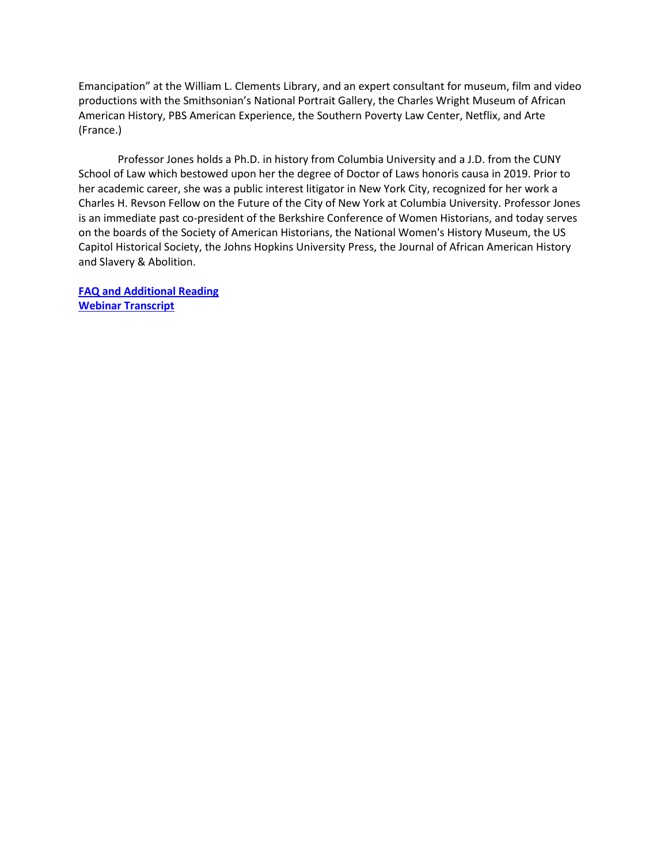Emancipation" at the William L. Clements Library, and an expert consultant for museum, film and video productions with the Smithsonian's National Portrait Gallery, the Charles Wright Museum of African American History, PBS American Experience, the Southern Poverty Law Center, Netflix, and Arte (France.)

Professor Jones holds a Ph.D. in history from Columbia University and a J.D. from the CUNY School of Law which bestowed upon her the degree of Doctor of Laws honoris causa in 2019. Prior to her academic career, she was a public interest litigator in New York City, recognized for her work a Charles H. Revson Fellow on the Future of the City of New York at Columbia University. Professor Jones is an immediate past co-president of the Berkshire Conference of Women Historians, and today serves on the boards of the Society of American Historians, the National Women's History Museum, the US Capitol Historical Society, the Johns Hopkins University Press, the Journal of African American History and Slavery & Abolition.

**[FAQ and Additional Reading](https://nj.gov/state/historical/assets/pdf/revolution/jones-faq-additional-resources.pdf) [Webinar Transcript](https://nj.gov/state/historical/assets/pdf/revolution/jones-webinar-transcript.pdf)**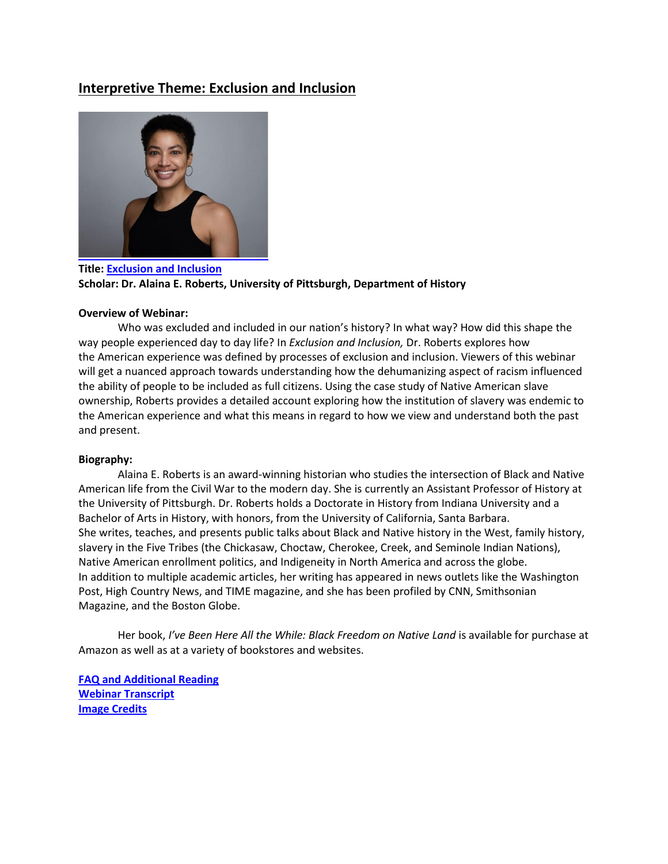# **Interpretive Theme: Exclusion and Inclusion**



**Title[: Exclusion and Inclusion](https://youtu.be/OCtJBmn14uM) Scholar: Dr. Alaina E. Roberts, University of Pittsburgh, Department of History**

### **Overview of Webinar:**

Who was excluded and included in our nation's history? In what way? How did this shape the way people experienced day to day life? In *Exclusion and Inclusion,* Dr. Roberts explores how the American experience was defined by processes of exclusion and inclusion. Viewers of this webinar will get a nuanced approach towards understanding how the dehumanizing aspect of racism influenced the ability of people to be included as full citizens. Using the case study of Native American slave ownership, Roberts provides a detailed account exploring how the institution of slavery was endemic to the American experience and what this means in regard to how we view and understand both the past and present.

## **Biography:**

Alaina E. Roberts is an award-winning historian who studies the intersection of Black and Native American life from the Civil War to the modern day. She is currently an Assistant Professor of History at the University of Pittsburgh. Dr. Roberts holds a Doctorate in History from Indiana University and a Bachelor of Arts in History, with honors, from the University of California, Santa Barbara. She writes, teaches, and presents public talks about Black and Native history in the West, family history, slavery in the Five Tribes (the Chickasaw, Choctaw, Cherokee, Creek, and Seminole Indian Nations), Native American enrollment politics, and Indigeneity in North America and across the globe. In addition to multiple academic articles, her writing has appeared in news outlets like the Washington Post, High Country News, and TIME magazine, and she has been profiled by CNN, Smithsonian Magazine, and the Boston Globe.

Her book, *I've Been Here All the While: Black Freedom on Native Land* is available for purchase at Amazon as well as at a variety of bookstores and websites.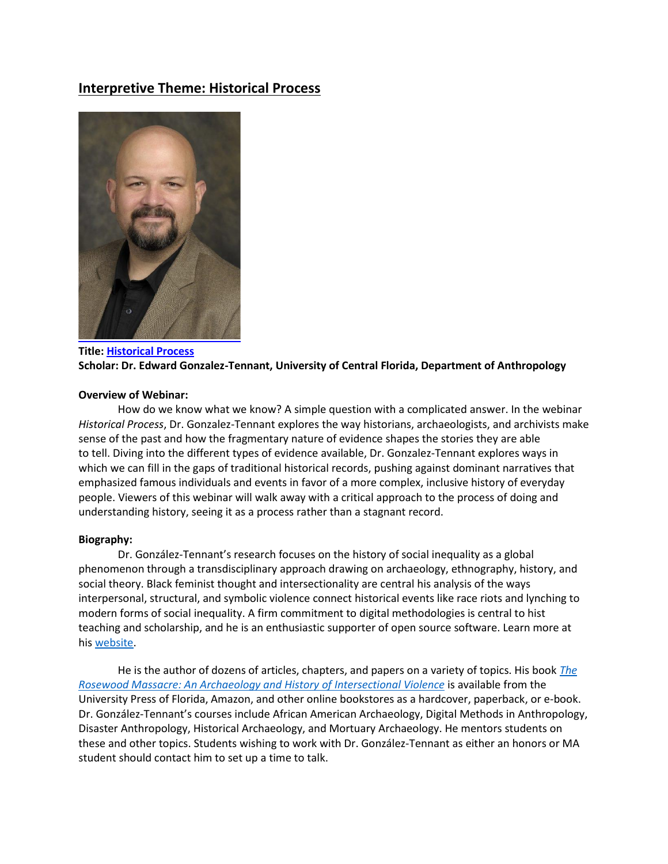# **Interpretive Theme: Historical Process**



## **Title[: Historical Process](https://youtu.be/k2SFy95qlPI) Scholar: Dr. Edward Gonzalez-Tennant, University of Central Florida, Department of Anthropology**

### **Overview of Webinar:**

How do we know what we know? A simple question with a complicated answer. In the webinar *Historical Process*, Dr. Gonzalez-Tennant explores the way historians, archaeologists, and archivists make sense of the past and how the fragmentary nature of evidence shapes the stories they are able to tell. Diving into the different types of evidence available, Dr. Gonzalez-Tennant explores ways in which we can fill in the gaps of traditional historical records, pushing against dominant narratives that emphasized famous individuals and events in favor of a more complex, inclusive history of everyday people. Viewers of this webinar will walk away with a critical approach to the process of doing and understanding history, seeing it as a process rather than a stagnant record.

#### **Biography:**

Dr. González-Tennant's research focuses on the history of social inequality as a global phenomenon through a transdisciplinary approach drawing on archaeology, ethnography, history, and social theory. Black feminist thought and intersectionality are central his analysis of the ways interpersonal, structural, and symbolic violence connect historical events like race riots and lynching to modern forms of social inequality. A firm commitment to digital methodologies is central to hist teaching and scholarship, and he is an enthusiastic supporter of open source software. Learn more at his [website.](http://www.gonzaleztennant.net/)

He is the author of dozens of articles, chapters, and papers on a variety of topics. His book *[The](http://upf.com/book.asp?id=9780813056784)  [Rosewood Massacre: An Archaeology and History of Intersectional Violence](http://upf.com/book.asp?id=9780813056784)* is available from the University Press of Florida, Amazon, and other online bookstores as a hardcover, paperback, or e-book. Dr. González-Tennant's courses include African American Archaeology, Digital Methods in Anthropology, Disaster Anthropology, Historical Archaeology, and Mortuary Archaeology. He mentors students on these and other topics. Students wishing to work with Dr. González-Tennant as either an honors or MA student should contact him to set up a time to talk.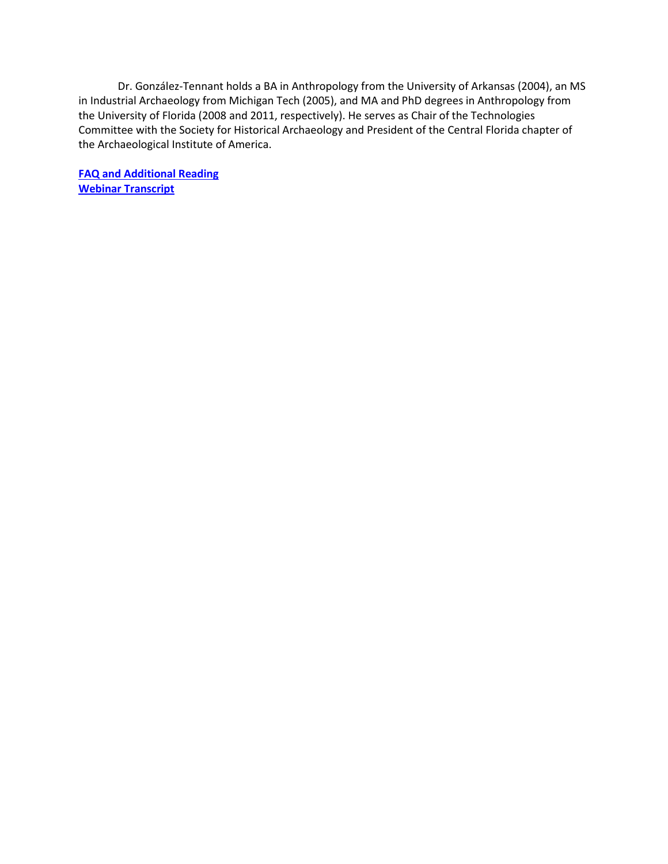Dr. González-Tennant holds a BA in Anthropology from the University of Arkansas (2004), an MS in Industrial Archaeology from Michigan Tech (2005), and MA and PhD degrees in Anthropology from the University of Florida (2008 and 2011, respectively). He serves as Chair of the Technologies Committee with the Society for Historical Archaeology and President of the Central Florida chapter of the Archaeological Institute of America.

**[FAQ and Additional Reading](https://nj.gov/state/historical/assets/pdf/revolution/gonzalez-tennant-faq-additional-resources.pdf) [Webinar Transcript](https://nj.gov/state/historical/assets/pdf/revolution/gonzalez-tennant-webinar-transcript.pdf)**